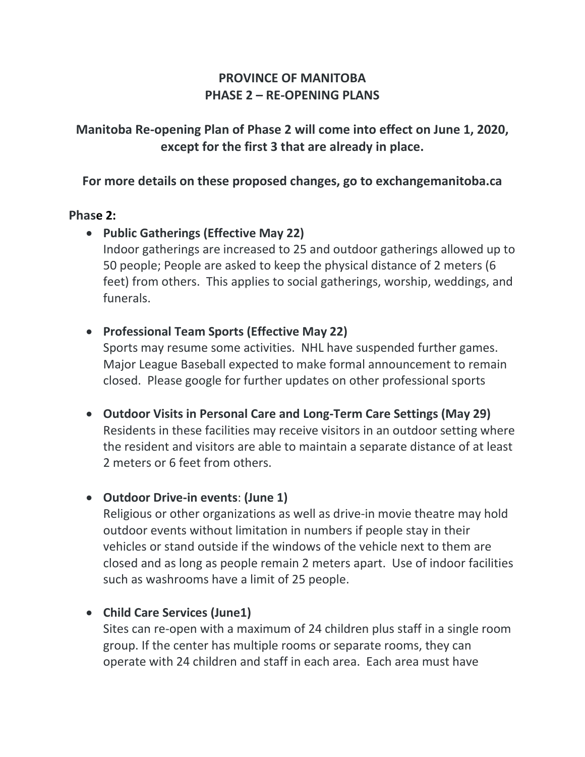# **PROVINCE OF MANITOBA PHASE 2 – RE-OPENING PLANS**

# **Manitoba Re-opening Plan of Phase 2 will come into effect on June 1, 2020, except for the first 3 that are already in place.**

**For more details on these proposed changes, go to exchangemanitoba.ca**

#### **Phase 2:**

## • **Public Gatherings (Effective May 22)** Indoor gatherings are increased to 25 and outdoor gatherings allowed up to 50 people; People are asked to keep the physical distance of 2 meters (6 feet) from others. This applies to social gatherings, worship, weddings, and funerals.

• **Professional Team Sports (Effective May 22)**

Sports may resume some activities. NHL have suspended further games. Major League Baseball expected to make formal announcement to remain closed. Please google for further updates on other professional sports

• **Outdoor Visits in Personal Care and Long-Term Care Settings (May 29)** Residents in these facilities may receive visitors in an outdoor setting where the resident and visitors are able to maintain a separate distance of at least 2 meters or 6 feet from others.

## • **Outdoor Drive-in events**: **(June 1)**

Religious or other organizations as well as drive-in movie theatre may hold outdoor events without limitation in numbers if people stay in their vehicles or stand outside if the windows of the vehicle next to them are closed and as long as people remain 2 meters apart. Use of indoor facilities such as washrooms have a limit of 25 people.

## • **Child Care Services (June1)**

Sites can re-open with a maximum of 24 children plus staff in a single room group. If the center has multiple rooms or separate rooms, they can operate with 24 children and staff in each area. Each area must have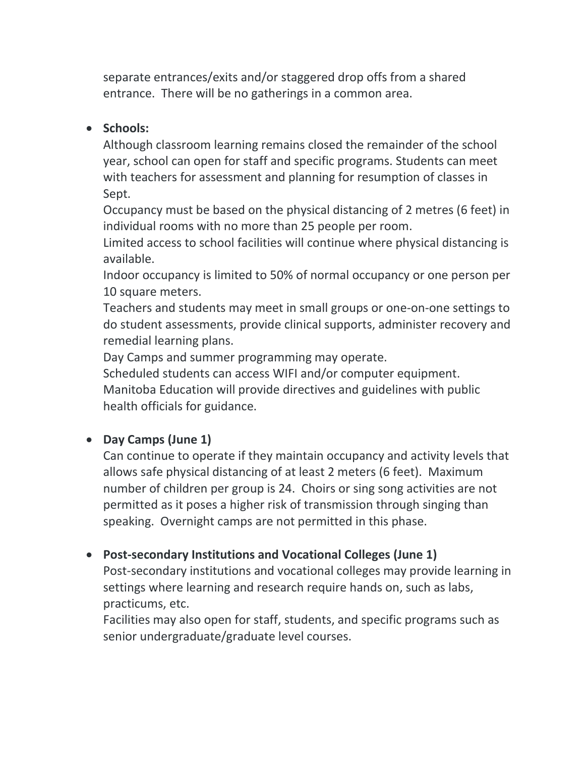separate entrances/exits and/or staggered drop offs from a shared entrance. There will be no gatherings in a common area.

#### • **Schools:**

Although classroom learning remains closed the remainder of the school year, school can open for staff and specific programs. Students can meet with teachers for assessment and planning for resumption of classes in Sept.

Occupancy must be based on the physical distancing of 2 metres (6 feet) in individual rooms with no more than 25 people per room.

Limited access to school facilities will continue where physical distancing is available.

Indoor occupancy is limited to 50% of normal occupancy or one person per 10 square meters.

Teachers and students may meet in small groups or one-on-one settings to do student assessments, provide clinical supports, administer recovery and remedial learning plans.

Day Camps and summer programming may operate.

Scheduled students can access WIFI and/or computer equipment. Manitoba Education will provide directives and guidelines with public health officials for guidance.

## • **Day Camps (June 1)**

Can continue to operate if they maintain occupancy and activity levels that allows safe physical distancing of at least 2 meters (6 feet). Maximum number of children per group is 24. Choirs or sing song activities are not permitted as it poses a higher risk of transmission through singing than speaking. Overnight camps are not permitted in this phase.

## • **Post-secondary Institutions and Vocational Colleges (June 1)**

Post-secondary institutions and vocational colleges may provide learning in settings where learning and research require hands on, such as labs, practicums, etc.

Facilities may also open for staff, students, and specific programs such as senior undergraduate/graduate level courses.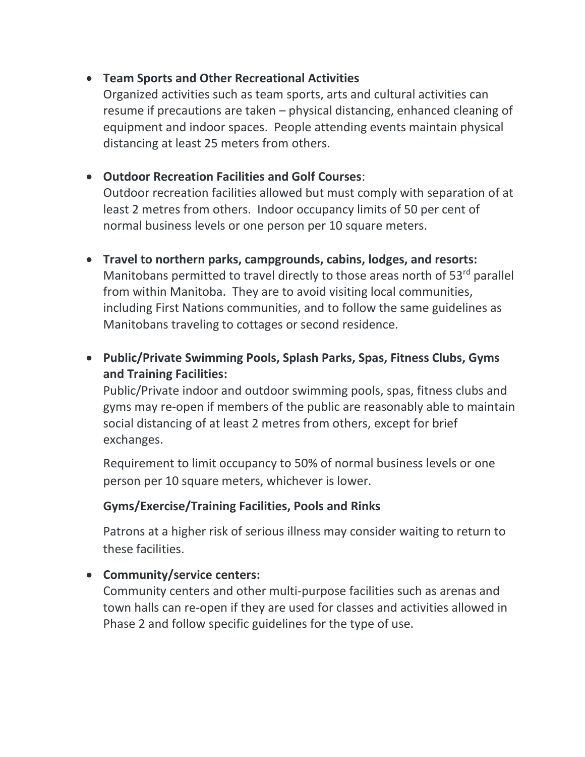#### • **Team Sports and Other Recreational Activities**

Organized activities such as team sports, arts and cultural activities can resume if precautions are taken – physical distancing, enhanced cleaning of equipment and indoor spaces. People attending events maintain physical distancing at least 25 meters from others.

## • **Outdoor Recreation Facilities and Golf Courses**:

Outdoor recreation facilities allowed but must comply with separation of at least 2 metres from others. Indoor occupancy limits of 50 per cent of normal business levels or one person per 10 square meters.

• **Travel to northern parks, campgrounds, cabins, lodges, and resorts:** Manitobans permitted to travel directly to those areas north of  $53<sup>rd</sup>$  parallel from within Manitoba. They are to avoid visiting local communities, including First Nations communities, and to follow the same guidelines as Manitobans traveling to cottages or second residence.

# • **Public/Private Swimming Pools, Splash Parks, Spas, Fitness Clubs, Gyms and Training Facilities:**

Public/Private indoor and outdoor swimming pools, spas, fitness clubs and gyms may re-open if members of the public are reasonably able to maintain social distancing of at least 2 metres from others, except for brief exchanges.

Requirement to limit occupancy to 50% of normal business levels or one person per 10 square meters, whichever is lower.

#### **Gyms/Exercise/Training Facilities, Pools and Rinks**

Patrons at a higher risk of serious illness may consider waiting to return to these facilities.

## • **Community/service centers:**

Community centers and other multi-purpose facilities such as arenas and town halls can re-open if they are used for classes and activities allowed in Phase 2 and follow specific guidelines for the type of use.